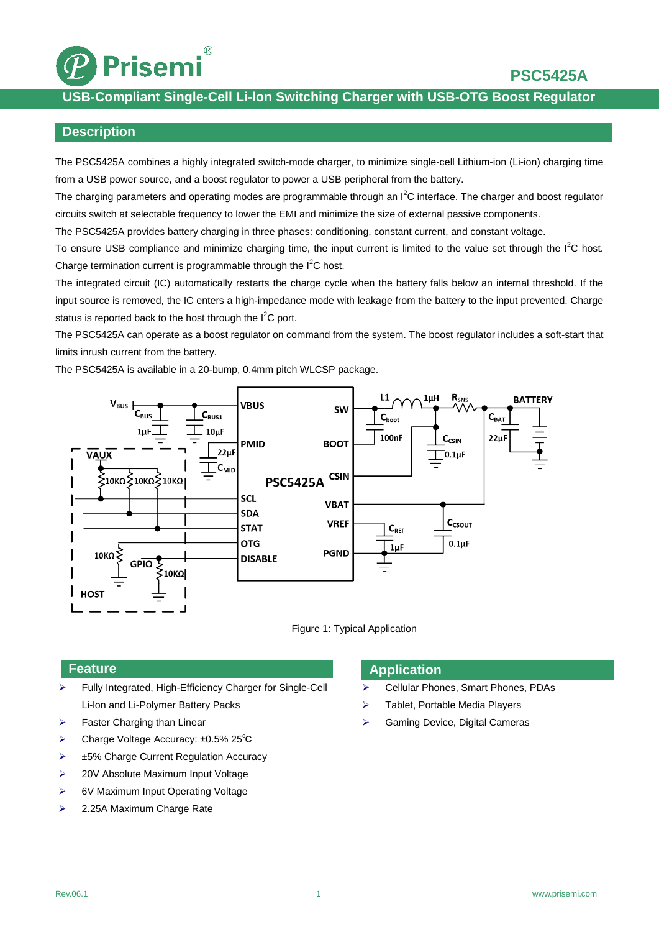

# **USB-Compliant Single-Cell Li-lon Switching Charger with USB-OTG Boost Regulator**

## **Description**

The PSC5425A combines a highly integrated switch-mode charger, to minimize single-cell Lithium-ion (Li-ion) charging time from a USB power source, and a boost regulator to power a USB peripheral from the battery.

The charging parameters and operating modes are programmable through an  $I^2C$  interface. The charger and boost regulator circuits switch at selectable frequency to lower the EMI and minimize the size of external passive components.

The PSC5425A provides battery charging in three phases: conditioning, constant current, and constant voltage.

To ensure USB compliance and minimize charging time, the input current is limited to the value set through the  $I^2C$  host. Charge termination current is programmable through the I<sup>2</sup>C host.

The integrated circuit (IC) automatically restarts the charge cycle when the battery falls below an internal threshold. If the input source is removed, the IC enters a high-impedance mode with leakage from the battery to the input prevented. Charge status is reported back to the host through the  $I^2C$  port.

The PSC5425A can operate as a boost regulator on command from the system. The boost regulator includes a soft-start that limits inrush current from the battery.

The PSC5425A is available in a 20-bump, 0.4mm pitch WLCSP package.





## **Feature**

- Fully Integrated, High-Efficiency Charger for Single-Cell Li-lon and Li-Polymer Battery Packs
- $\triangleright$  Faster Charging than Linear
- Charge Voltage Accuracy: ±0.5% 25℃
- **► ±5% Charge Current Regulation Accuracy**
- **►** 20V Absolute Maximum Input Voltage
- ▶ 6V Maximum Input Operating Voltage
- ▶ 2.25A Maximum Charge Rate

## **Application**

- ▶ Cellular Phones, Smart Phones, PDAs
- > Tablet, Portable Media Players
- Gaming Device, Digital Cameras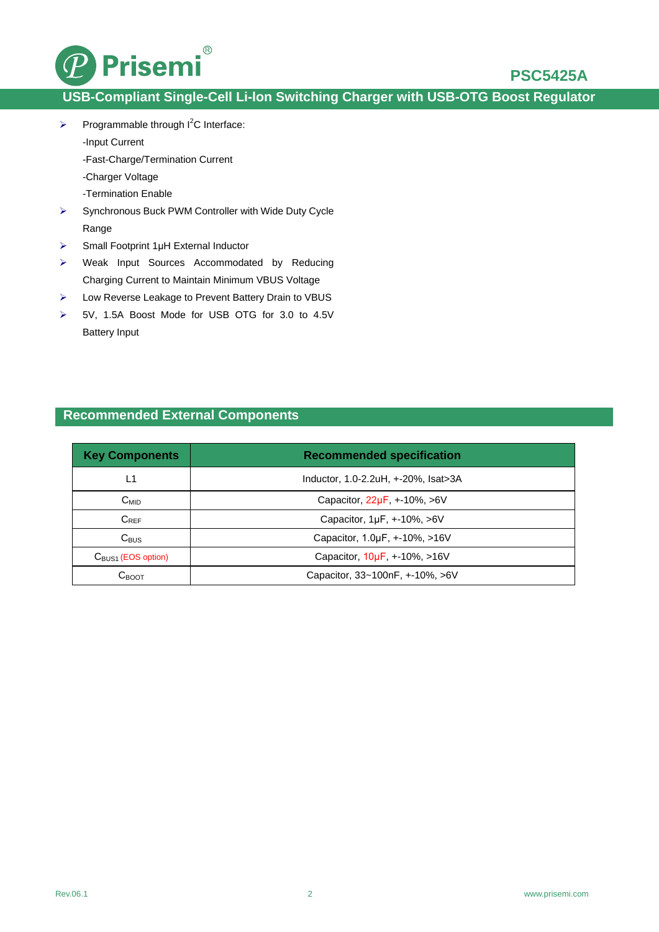

## **PSC5425A**

# **USB-Compliant Single-Cell Li-lon Switching Charger with USB-OTG Boost Regulator**

- Programmable through  $I^2C$  Interface:
	- -Input Current
	- -Fast-Charge/Termination Current
	- -Charger Voltage
	- -Termination Enable
- Synchronous Buck PWM Controller with Wide Duty Cycle Range
- $\triangleright$  Small Footprint 1µH External Inductor
- Weak Input Sources Accommodated by Reducing Charging Current to Maintain Minimum VBUS Voltage
- Low Reverse Leakage to Prevent Battery Drain to VBUS
- 5V, 1.5A Boost Mode for USB OTG for 3.0 to 4.5V Battery Input

## **Recommended External Components**

| <b>Key Components</b>          | <b>Recommended specification</b>        |  |
|--------------------------------|-----------------------------------------|--|
| L1                             | Inductor, 1.0-2.2uH, +-20%, Isat>3A     |  |
| $C_{MID}$                      | Capacitor, $22\mu F$ , $+10\%$ , $>6V$  |  |
| $C_{REF}$                      | Capacitor, 1µF, +-10%, >6V              |  |
| $C_{\text{BUS}}$               | Capacitor, 1.0µF, +-10%, >16V           |  |
| $C_{\text{BUS1}}$ (EOS option) | Capacitor, $10\mu F$ , $+10\%$ , $>16V$ |  |
| $C_{\text{BOOT}}$              | Capacitor, 33~100nF, +-10%, >6V         |  |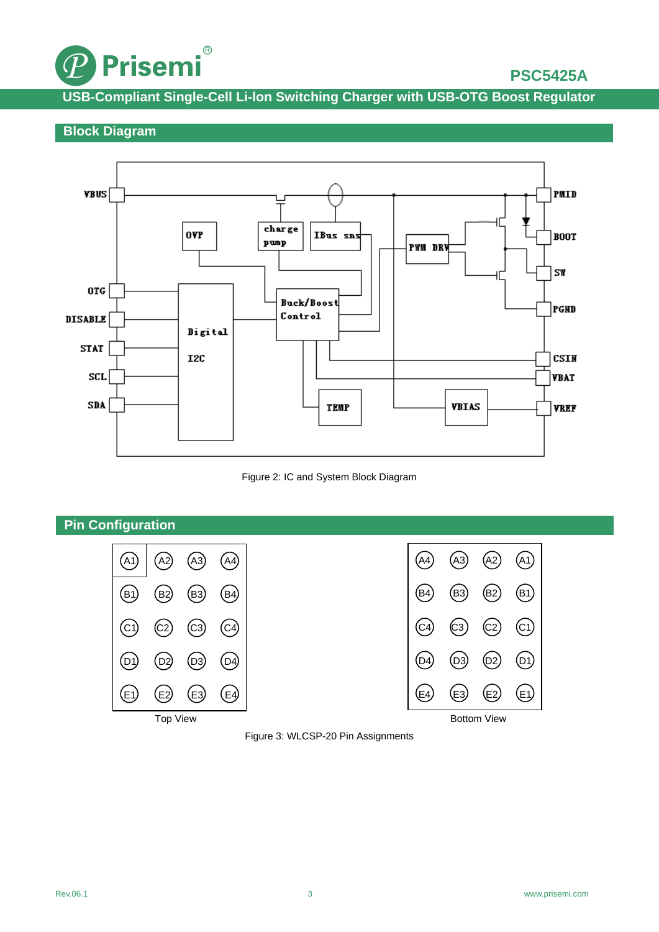

# **PSC5425A**

**USB-Compliant Single-Cell Li-lon Switching Charger with USB-OTG Boost Regulator**

## **Block Diagram**



#### Figure 2: IC and System Block Diagram



## Figure 3: WLCSP-20 Pin Assignments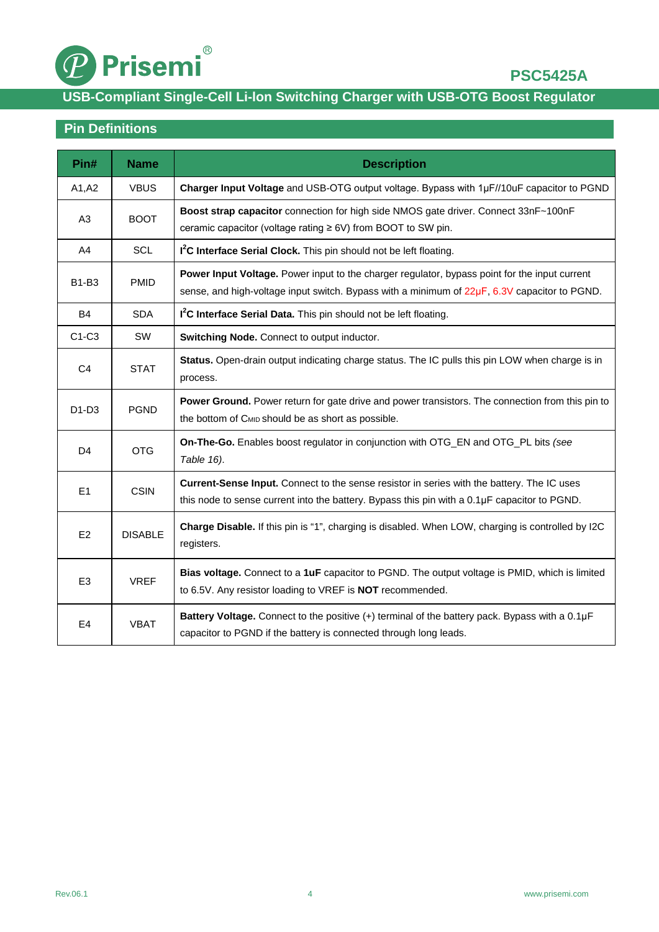

# **USB-Compliant Single-Cell Li-lon Switching Charger with USB-OTG Boost Regulator**

# **Pin Definitions**

| Pin#           | <b>Name</b>    | <b>Description</b>                                                                                                                                                                                  |  |  |
|----------------|----------------|-----------------------------------------------------------------------------------------------------------------------------------------------------------------------------------------------------|--|--|
| A1, A2         | <b>VBUS</b>    | Charger Input Voltage and USB-OTG output voltage. Bypass with 1µF//10uF capacitor to PGND                                                                                                           |  |  |
| A <sub>3</sub> | <b>BOOT</b>    | Boost strap capacitor connection for high side NMOS gate driver. Connect 33nF~100nF<br>ceramic capacitor (voltage rating ≥ 6V) from BOOT to SW pin.                                                 |  |  |
| A4             | <b>SCL</b>     | I <sup>2</sup> C Interface Serial Clock. This pin should not be left floating.                                                                                                                      |  |  |
| <b>B1-B3</b>   | <b>PMID</b>    | Power Input Voltage. Power input to the charger regulator, bypass point for the input current<br>sense, and high-voltage input switch. Bypass with a minimum of $22\mu F$ , 6.3V capacitor to PGND. |  |  |
| <b>B4</b>      | <b>SDA</b>     | I <sup>2</sup> C Interface Serial Data. This pin should not be left floating.                                                                                                                       |  |  |
| $C1-C3$        | <b>SW</b>      | Switching Node. Connect to output inductor.                                                                                                                                                         |  |  |
| C <sub>4</sub> | <b>STAT</b>    | Status. Open-drain output indicating charge status. The IC pulls this pin LOW when charge is in<br>process.                                                                                         |  |  |
| $D1-D3$        | <b>PGND</b>    | Power Ground. Power return for gate drive and power transistors. The connection from this pin to<br>the bottom of CMID should be as short as possible.                                              |  |  |
| D <sub>4</sub> | <b>OTG</b>     | On-The-Go. Enables boost regulator in conjunction with OTG_EN and OTG_PL bits (see<br>Table 16).                                                                                                    |  |  |
| E <sub>1</sub> | <b>CSIN</b>    | Current-Sense Input. Connect to the sense resistor in series with the battery. The IC uses<br>this node to sense current into the battery. Bypass this pin with a 0.1µF capacitor to PGND.          |  |  |
| E2             | <b>DISABLE</b> | Charge Disable. If this pin is "1", charging is disabled. When LOW, charging is controlled by I2C<br>registers.                                                                                     |  |  |
| E <sub>3</sub> | <b>VREF</b>    | Bias voltage. Connect to a 1uF capacitor to PGND. The output voltage is PMID, which is limited<br>to 6.5V. Any resistor loading to VREF is NOT recommended.                                         |  |  |
| E <sub>4</sub> | <b>VBAT</b>    | Battery Voltage. Connect to the positive (+) terminal of the battery pack. Bypass with a 0.1µF<br>capacitor to PGND if the battery is connected through long leads.                                 |  |  |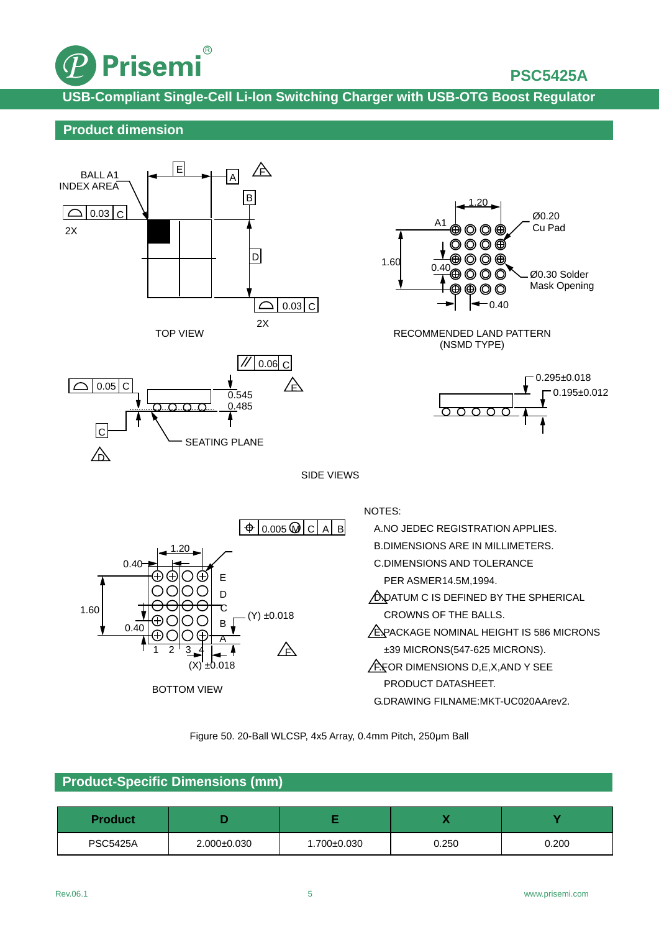

# **PSC5425A**

**USB-Compliant Single-Cell Li-lon Switching Charger with USB-OTG Boost Regulator**

## **Product dimension**





## **Product-Specific Dimensions (mm)**

| <b>Product</b>  |                   |             | . .   |       |
|-----------------|-------------------|-------------|-------|-------|
| <b>PSC5425A</b> | $2.000 \pm 0.030$ | 1.700±0.030 | 0.250 | 0.200 |